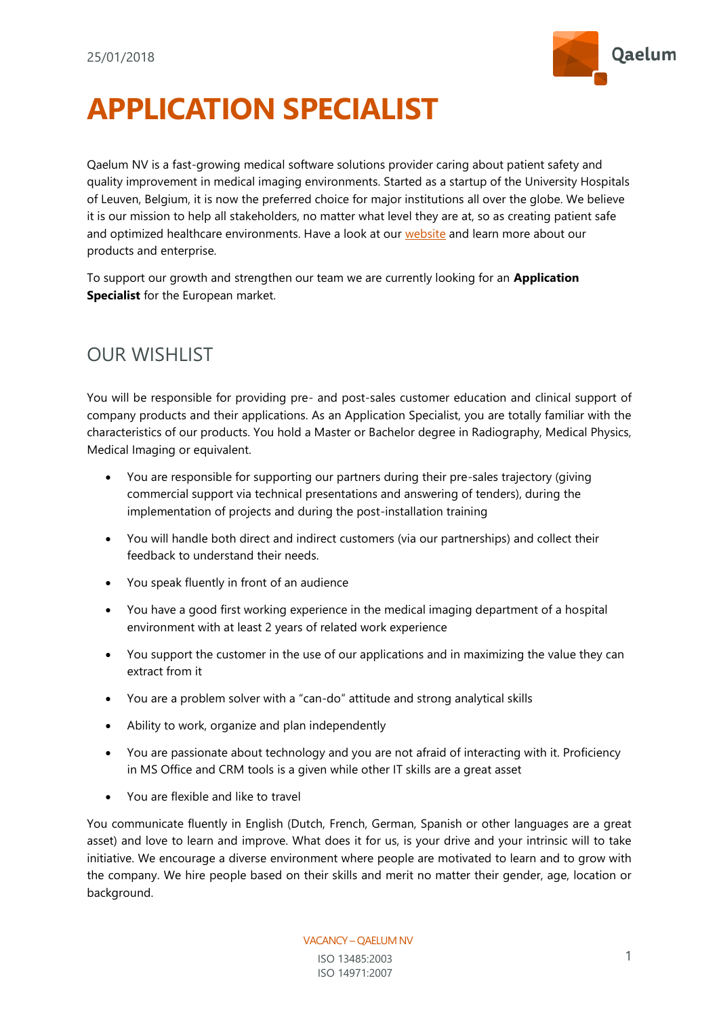

## **APPLICATION SPECIALIST**

Qaelum NV is a fast-growing medical software solutions provider caring about patient safety and quality improvement in medical imaging environments. Started as a startup of the University Hospitals of Leuven, Belgium, it is now the preferred choice for major institutions all over the globe. We believe it is our mission to help all stakeholders, no matter what level they are at, so as creating patient safe and optimized healthcare environments. Have a look at our [website](http://www.qaelum.com/) and learn more about our products and enterprise.

To support our growth and strengthen our team we are currently looking for an **Application Specialist** for the European market.

## OUR WISHLIST

You will be responsible for providing pre- and post-sales customer education and clinical support of company products and their applications. As an Application Specialist, you are totally familiar with the characteristics of our products. You hold a Master or Bachelor degree in Radiography, Medical Physics, Medical Imaging or equivalent.

- You are responsible for supporting our partners during their pre-sales trajectory (giving commercial support via technical presentations and answering of tenders), during the implementation of projects and during the post-installation training
- You will handle both direct and indirect customers (via our partnerships) and collect their feedback to understand their needs.
- You speak fluently in front of an audience
- You have a good first working experience in the medical imaging department of a hospital environment with at least 2 years of related work experience
- You support the customer in the use of our applications and in maximizing the value they can extract from it
- You are a problem solver with a "can-do" attitude and strong analytical skills
- Ability to work, organize and plan independently
- You are passionate about technology and you are not afraid of interacting with it. Proficiency in MS Office and CRM tools is a given while other IT skills are a great asset
- You are flexible and like to travel

You communicate fluently in English (Dutch, French, German, Spanish or other languages are a great asset) and love to learn and improve. What does it for us, is your drive and your intrinsic will to take initiative. We encourage a diverse environment where people are motivated to learn and to grow with the company. We hire people based on their skills and merit no matter their gender, age, location or background.

> VACANCY – QAELUM NV ISO 13485:2003 ISO 14971:2007